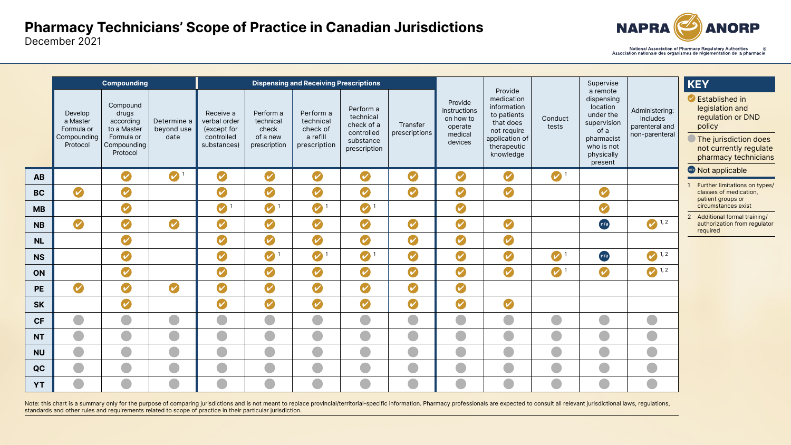## Pharmacy Technicians' Scope of Practice in Canadian Jurisdictions December 2021



|           |                                                              | <b>Compounding</b>                                                                     |                                   |                                                                       | <b>Dispensing and Receiving Prescriptions</b>               |                                                                |                                                                                 |                            |                                                                       |                                                                                                                               |                  | Supervise                                                                                                                   |                                                                       | KEY                                                                                                                       |
|-----------|--------------------------------------------------------------|----------------------------------------------------------------------------------------|-----------------------------------|-----------------------------------------------------------------------|-------------------------------------------------------------|----------------------------------------------------------------|---------------------------------------------------------------------------------|----------------------------|-----------------------------------------------------------------------|-------------------------------------------------------------------------------------------------------------------------------|------------------|-----------------------------------------------------------------------------------------------------------------------------|-----------------------------------------------------------------------|---------------------------------------------------------------------------------------------------------------------------|
|           | Develop<br>a Master<br>Formula or<br>Compounding<br>Protocol | Compound<br>drugs<br>according<br>to a Master<br>Formula or<br>Compounding<br>Protocol | Determine a<br>beyond use<br>date | Receive a<br>verbal order<br>(except for<br>controlled<br>substances) | Perform a<br>technical<br>check<br>of a new<br>prescription | Perform a<br>technical<br>check of<br>a refill<br>prescription | Perform a<br>technical<br>check of a<br>controlled<br>substance<br>prescription | Transfer<br>prescriptions  | Provide<br>instructions<br>on how to<br>operate<br>medical<br>devices | Provide<br>medication<br>information<br>to patients<br>that does<br>not require<br>application of<br>therapeutic<br>knowledge | Conduct<br>tests | a remote<br>dispensing<br>location<br>under the<br>supervision<br>of a<br>pharmacist<br>who is not<br>physically<br>present | Administering:<br><b>Includes</b><br>parenteral and<br>non-parenteral | C Established in<br>legislation and<br>regulation or D<br>policy<br>The jurisdiction<br>not currently re<br>pharmacy tech |
| <b>AB</b> |                                                              | $\boldsymbol{\mathcal{U}}$                                                             | $\sim$                            | $\boldsymbol{\mathcal{U}}$                                            | V                                                           | $\boldsymbol{\mathcal{U}}$                                     | $\boldsymbol{\mathcal{U}}$                                                      | $\boldsymbol{\mathcal{U}}$ | $\boldsymbol{\mathcal{U}}$                                            | $\boldsymbol{\mathscr{C}}$                                                                                                    | $\bigcirc$ 1     |                                                                                                                             |                                                                       | n/a Not applicable                                                                                                        |
| <b>BC</b> | $\boldsymbol{\mathcal{U}}$                                   | $\boldsymbol{\mathcal{C}}$                                                             |                                   | $\bullet$                                                             | $\overline{\mathcal{C}}$                                    | $\bullet$                                                      | $\boldsymbol{\mathcal{C}}$                                                      | $\boldsymbol{\mathcal{U}}$ | $\bigcirc$                                                            | $\bullet$                                                                                                                     |                  | $\bullet$                                                                                                                   |                                                                       | <b>Further limitations</b><br>classes of medicat<br>patient groups or                                                     |
| <b>MB</b> |                                                              | $\boldsymbol{\mathcal{C}}$                                                             |                                   | $\bullet$                                                             | $\bullet$                                                   | $\bullet$                                                      | $\bullet$                                                                       |                            | $\boldsymbol{\mathcal{C}}$                                            |                                                                                                                               |                  | $\overline{\mathcal{C}}$                                                                                                    |                                                                       | circumstances exis                                                                                                        |
| <b>NB</b> | $\boldsymbol{\mathcal{U}}$                                   | $\boldsymbol{\mathcal{C}}$                                                             | $\boldsymbol{C}$                  | $\overline{\mathcal{C}}$                                              | $\boldsymbol{\mathcal{C}}$                                  | $\bullet$                                                      | $\boldsymbol{\mathcal{U}}$                                                      | $\boldsymbol{\mathcal{U}}$ | $\boldsymbol{\mathcal{U}}$                                            | $\boldsymbol{\omega}$                                                                                                         |                  | n/a                                                                                                                         | 1, 2                                                                  | 2 Additional formal t<br>authorization from<br>required                                                                   |
| <b>NL</b> |                                                              | $\boldsymbol{C}$                                                                       |                                   | $\boldsymbol{\omega}$                                                 | $\boldsymbol{C}$                                            | $\bullet$                                                      | $\boldsymbol{\mathcal{U}}$                                                      | $\omega$                   | $\boldsymbol{\mathcal{U}}$                                            |                                                                                                                               |                  |                                                                                                                             |                                                                       |                                                                                                                           |
| <b>NS</b> |                                                              | $\overline{\mathcal{L}}$                                                               |                                   | $\overline{\phantom{a}}$                                              | $\bigcirc$ 1                                                | $\blacksquare$ 1                                               | $\bigcirc$ 1                                                                    |                            |                                                                       | $\mathcal{L}$                                                                                                                 | $\bigcirc$ 1     | n/a                                                                                                                         | $\bigcirc$ 1, 2                                                       |                                                                                                                           |
| ON        |                                                              | $\overline{\mathcal{C}}$                                                               |                                   | $\boldsymbol{\sim}$                                                   | $\overline{\mathcal{C}}$                                    | $\bullet$                                                      | $\boldsymbol{\mathcal{C}}$                                                      | $\sim$                     | $\sim$                                                                | $\boldsymbol{\mathcal{C}}$                                                                                                    | $\bigcirc$       | $\bullet$                                                                                                                   | $\sim$ 1, 2                                                           |                                                                                                                           |
| <b>PE</b> | $\boldsymbol{\mathcal{U}}$                                   | $\boldsymbol{\mathcal{C}}$                                                             | $\omega$                          | $\omega$                                                              | $\bullet$                                                   | $\bullet$                                                      | $\bullet$                                                                       | $\bigvee$                  | $\boldsymbol{\mathcal{U}}$                                            |                                                                                                                               |                  |                                                                                                                             |                                                                       |                                                                                                                           |
| <b>SK</b> |                                                              | $\boldsymbol{\mathcal{C}}$                                                             |                                   | $\bullet$                                                             | $\overline{\mathcal{C}}$                                    | $\bullet$                                                      | $\boldsymbol{\mathcal{U}}$                                                      | $\boldsymbol{\mathcal{U}}$ | $\boldsymbol{\mathcal{U}}$                                            | $\bigcirc$                                                                                                                    |                  |                                                                                                                             |                                                                       |                                                                                                                           |
| <b>CF</b> |                                                              |                                                                                        | ò,                                |                                                                       |                                                             |                                                                |                                                                                 |                            |                                                                       |                                                                                                                               |                  |                                                                                                                             |                                                                       |                                                                                                                           |
| <b>NT</b> |                                                              |                                                                                        | O                                 |                                                                       |                                                             |                                                                |                                                                                 |                            |                                                                       |                                                                                                                               |                  |                                                                                                                             |                                                                       |                                                                                                                           |
| <b>NU</b> |                                                              |                                                                                        |                                   |                                                                       |                                                             |                                                                |                                                                                 |                            |                                                                       |                                                                                                                               |                  |                                                                                                                             |                                                                       |                                                                                                                           |
| QC        |                                                              |                                                                                        | O                                 |                                                                       |                                                             |                                                                |                                                                                 |                            |                                                                       |                                                                                                                               |                  |                                                                                                                             |                                                                       |                                                                                                                           |
| <b>YT</b> |                                                              |                                                                                        |                                   |                                                                       |                                                             |                                                                |                                                                                 |                            |                                                                       |                                                                                                                               |                  |                                                                                                                             |                                                                       |                                                                                                                           |

Note: this chart is a summary only for the purpose of comparing jurisdictions and is not meant to replace provincial/territorial-specific information. Pharmacy professionals are expected to consult all relevant jurisdictio standards and other rules and requirements related to scope of practice in their particular jurisdiction.



Mational Association of Pharmacy Regulatory Authorities 68 Mational Association nationale des organismes de réglementation de la pharmacie